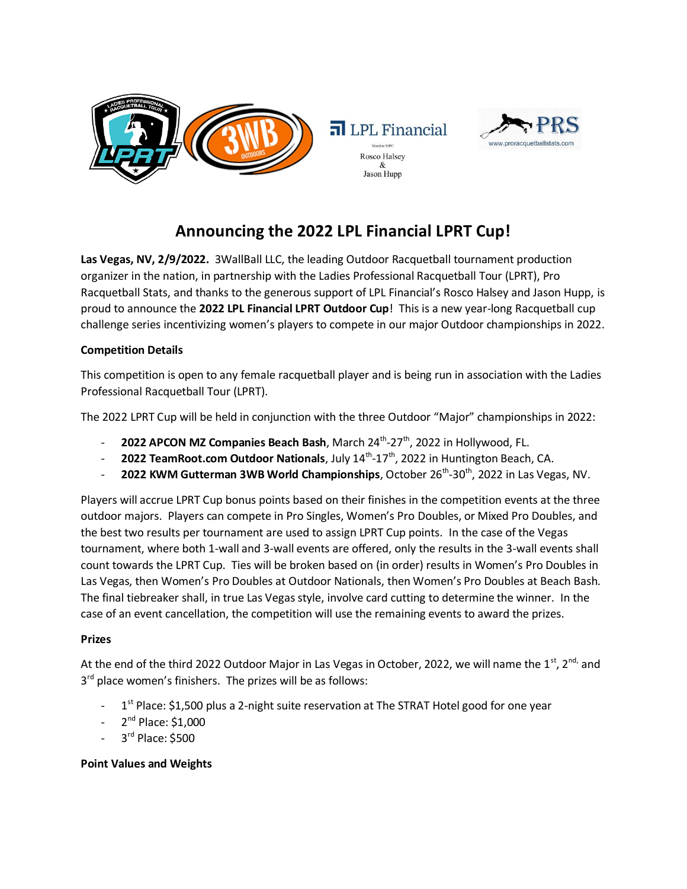



# **Announcing the 2022 LPL Financial LPRT Cup!**

**Las Vegas, NV, 2/9/2022.** 3WallBall LLC, the leading Outdoor Racquetball tournament production organizer in the nation, in partnership with the Ladies Professional Racquetball Tour (LPRT), Pro Racquetball Stats, and thanks to the generous support of LPL Financial's Rosco Halsey and Jason Hupp, is proud to announce the **2022 LPL Financial LPRT Outdoor Cup**! This is a new year-long Racquetball cup challenge series incentivizing women's players to compete in our major Outdoor championships in 2022.

## **Competition Details**

This competition is open to any female racquetball player and is being run in association with the Ladies Professional Racquetball Tour (LPRT).

The 2022 LPRT Cup will be held in conjunction with the three Outdoor "Major" championships in 2022:

- **2022 APCON MZ Companies Beach Bash**, March 24<sup>th</sup>-27<sup>th</sup>, 2022 in Hollywood, FL.
- **2022 TeamRoot.com Outdoor Nationals**, July 14<sup>th</sup>-17<sup>th</sup>, 2022 in Huntington Beach, CA.
- **2022 KWM Gutterman 3WB World Championships**, October 26<sup>th</sup>-30<sup>th</sup>, 2022 in Las Vegas, NV.

Players will accrue LPRT Cup bonus points based on their finishes in the competition events at the three outdoor majors. Players can compete in Pro Singles, Women's Pro Doubles, or Mixed Pro Doubles, and the best two results per tournament are used to assign LPRT Cup points. In the case of the Vegas tournament, where both 1-wall and 3-wall events are offered, only the results in the 3-wall events shall count towards the LPRT Cup. Ties will be broken based on (in order) results in Women's Pro Doubles in Las Vegas, then Women's Pro Doubles at Outdoor Nationals, then Women's Pro Doubles at Beach Bash. The final tiebreaker shall, in true Las Vegas style, involve card cutting to determine the winner. In the case of an event cancellation, the competition will use the remaining events to award the prizes.

### **Prizes**

At the end of the third 2022 Outdoor Major in Las Vegas in October, 2022, we will name the 1<sup>st</sup>, 2<sup>nd,</sup> and 3<sup>rd</sup> place women's finishers. The prizes will be as follows:

- 1<sup>st</sup> Place: \$1,500 plus a 2-night suite reservation at The STRAT Hotel good for one year
- 2<sup>nd</sup> Place: \$1,000
- 3<sup>rd</sup> Place: \$500

### **Point Values and Weights**